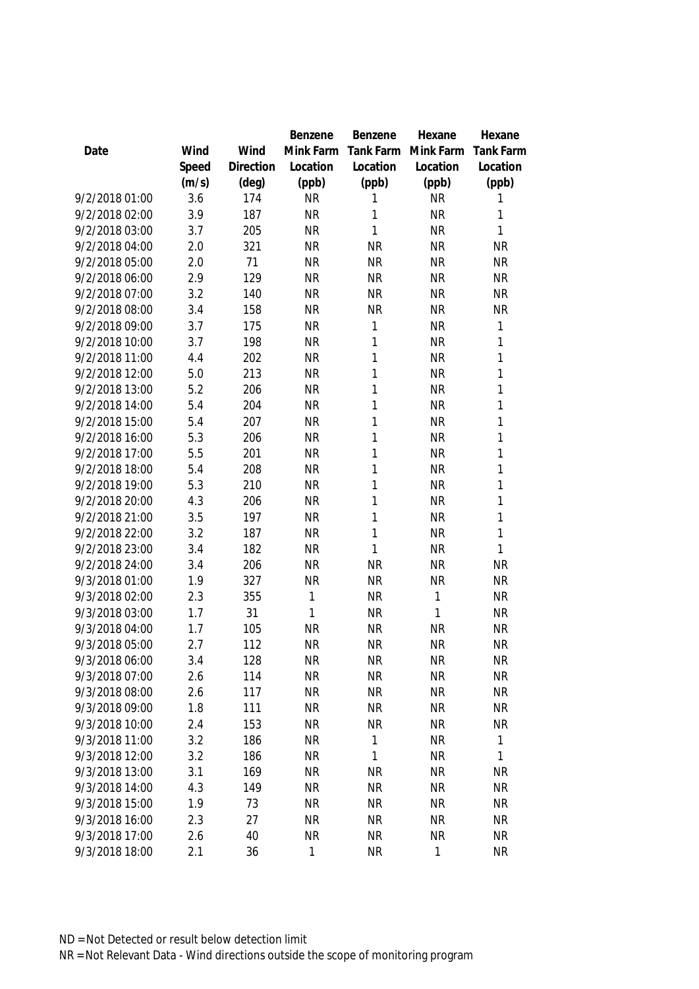|                |       |                | Benzene   | Benzene   | Hexane      | Hexane           |
|----------------|-------|----------------|-----------|-----------|-------------|------------------|
| Date           | Wind  | Wind           | Mink Farm | Tank Farm | Mink Farm   | <b>Tank Farm</b> |
|                | Speed | Direction      | Location  | Location  | Location    | Location         |
|                | (m/s) | $(\text{deg})$ | (ppb)     | (ppb)     | (ppb)       | (ppb)            |
| 9/2/2018 01:00 | 3.6   | 174            | <b>NR</b> | 1         | <b>NR</b>   | 1                |
| 9/2/2018 02:00 | 3.9   | 187            | <b>NR</b> | 1         | <b>NR</b>   | 1                |
| 9/2/2018 03:00 | 3.7   | 205            | <b>NR</b> | 1         | <b>NR</b>   | 1                |
| 9/2/2018 04:00 | 2.0   | 321            | <b>NR</b> | <b>NR</b> | <b>NR</b>   | <b>NR</b>        |
| 9/2/2018 05:00 | 2.0   | 71             | <b>NR</b> | <b>NR</b> | <b>NR</b>   | <b>NR</b>        |
| 9/2/2018 06:00 | 2.9   | 129            | <b>NR</b> | <b>NR</b> | <b>NR</b>   | <b>NR</b>        |
| 9/2/2018 07:00 | 3.2   | 140            | <b>NR</b> | <b>NR</b> | <b>NR</b>   | <b>NR</b>        |
| 9/2/2018 08:00 | 3.4   | 158            | <b>NR</b> | <b>NR</b> | <b>NR</b>   | <b>NR</b>        |
| 9/2/2018 09:00 | 3.7   | 175            | <b>NR</b> | 1         | <b>NR</b>   | 1                |
| 9/2/2018 10:00 | 3.7   | 198            | <b>NR</b> | 1         | <b>NR</b>   | 1                |
| 9/2/2018 11:00 | 4.4   | 202            | <b>NR</b> | 1         | <b>NR</b>   | 1                |
| 9/2/2018 12:00 | 5.0   | 213            | <b>NR</b> | 1         | <b>NR</b>   | 1                |
| 9/2/2018 13:00 | 5.2   | 206            | <b>NR</b> | 1         | <b>NR</b>   | 1                |
| 9/2/2018 14:00 | 5.4   | 204            | <b>NR</b> | 1         | <b>NR</b>   | 1                |
| 9/2/2018 15:00 | 5.4   | 207            | <b>NR</b> | 1         | <b>NR</b>   | 1                |
| 9/2/2018 16:00 | 5.3   | 206            | <b>NR</b> | 1         | <b>NR</b>   | 1                |
| 9/2/2018 17:00 | 5.5   | 201            | <b>NR</b> | 1         | <b>NR</b>   | 1                |
| 9/2/2018 18:00 | 5.4   | 208            | <b>NR</b> | 1         | <b>NR</b>   | 1                |
| 9/2/2018 19:00 | 5.3   | 210            | <b>NR</b> | 1         | <b>NR</b>   | 1                |
| 9/2/2018 20:00 | 4.3   | 206            | <b>NR</b> | 1         | <b>NR</b>   | 1                |
| 9/2/2018 21:00 | 3.5   | 197            | <b>NR</b> | 1         | <b>NR</b>   | 1                |
| 9/2/2018 22:00 | 3.2   | 187            | <b>NR</b> | 1         | <b>NR</b>   | 1                |
| 9/2/2018 23:00 | 3.4   | 182            | <b>NR</b> | 1         | <b>NR</b>   | 1                |
| 9/2/2018 24:00 | 3.4   | 206            | <b>NR</b> | <b>NR</b> | <b>NR</b>   | <b>NR</b>        |
| 9/3/2018 01:00 | 1.9   | 327            | <b>NR</b> | <b>NR</b> | <b>NR</b>   | <b>NR</b>        |
| 9/3/2018 02:00 | 2.3   | 355            | 1         | <b>NR</b> | 1           | <b>NR</b>        |
| 9/3/2018 03:00 | 1.7   | 31             | 1         | <b>NR</b> | 1           | <b>NR</b>        |
| 9/3/2018 04:00 | 1.7   | 105            | <b>NR</b> | <b>NR</b> | <b>NR</b>   | <b>NR</b>        |
| 9/3/2018 05:00 | 2.7   | 112            | <b>NR</b> | <b>NR</b> | <b>NR</b>   | <b>NR</b>        |
| 9/3/2018 06:00 | 3.4   | 128            | <b>NR</b> | <b>NR</b> | <b>NR</b>   | <b>NR</b>        |
| 9/3/2018 07:00 | 2.6   | 114            | <b>NR</b> | <b>NR</b> | <b>NR</b>   | <b>NR</b>        |
| 9/3/2018 08:00 | 2.6   | 117            | <b>NR</b> | <b>NR</b> | <b>NR</b>   | <b>NR</b>        |
| 9/3/2018 09:00 | 1.8   | 111            | <b>NR</b> | <b>NR</b> | <b>NR</b>   | <b>NR</b>        |
| 9/3/2018 10:00 | 2.4   | 153            | <b>NR</b> | <b>NR</b> | <b>NR</b>   | <b>NR</b>        |
| 9/3/2018 11:00 | 3.2   | 186            | <b>NR</b> | 1         | <b>NR</b>   | $\mathbf{1}$     |
| 9/3/2018 12:00 | 3.2   | 186            | <b>NR</b> | 1         | <b>NR</b>   | 1                |
| 9/3/2018 13:00 | 3.1   | 169            | <b>NR</b> | <b>NR</b> | <b>NR</b>   | <b>NR</b>        |
| 9/3/2018 14:00 | 4.3   | 149            | <b>NR</b> | <b>NR</b> | <b>NR</b>   | <b>NR</b>        |
| 9/3/2018 15:00 | 1.9   | 73             | <b>NR</b> | <b>NR</b> | <b>NR</b>   | <b>NR</b>        |
| 9/3/2018 16:00 | 2.3   | 27             | <b>NR</b> | <b>NR</b> | <b>NR</b>   | <b>NR</b>        |
| 9/3/2018 17:00 | 2.6   | 40             | <b>NR</b> | <b>NR</b> | <b>NR</b>   | <b>NR</b>        |
| 9/3/2018 18:00 | 2.1   | 36             | 1         | <b>NR</b> | $\mathbf 1$ | <b>NR</b>        |
|                |       |                |           |           |             |                  |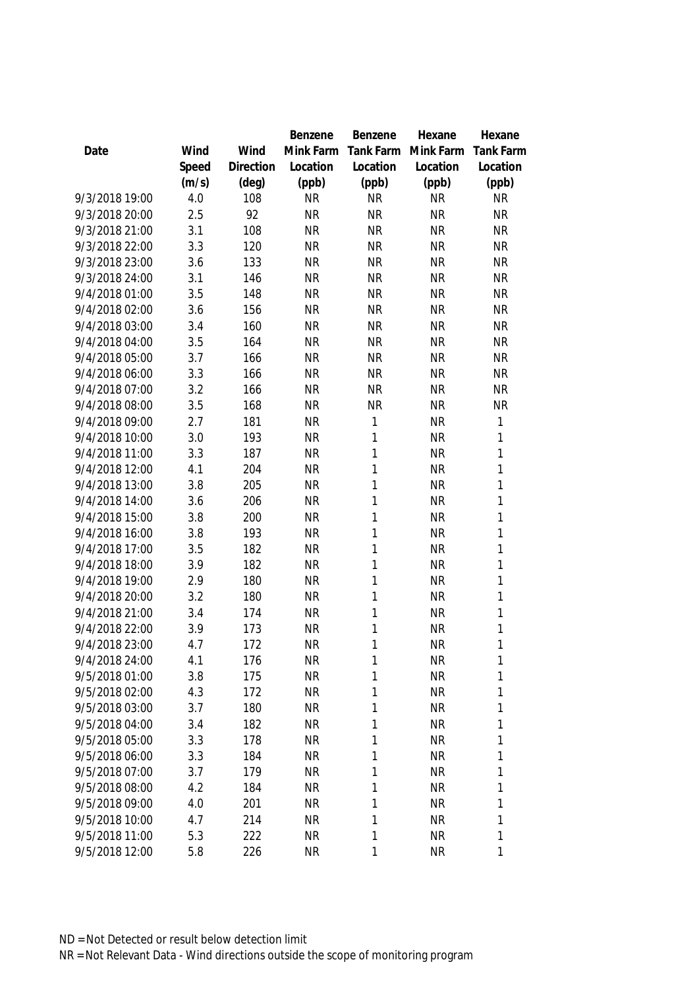|                |       |           | Benzene   | Benzene      | Hexane    | Hexane           |
|----------------|-------|-----------|-----------|--------------|-----------|------------------|
| Date           | Wind  | Wind      | Mink Farm | Tank Farm    | Mink Farm | <b>Tank Farm</b> |
|                | Speed | Direction | Location  | Location     | Location  | Location         |
|                | (m/s) | (deg)     | (ppb)     | (ppb)        | (ppb)     | (ppb)            |
| 9/3/2018 19:00 | 4.0   | 108       | <b>NR</b> | <b>NR</b>    | <b>NR</b> | <b>NR</b>        |
| 9/3/2018 20:00 | 2.5   | 92        | <b>NR</b> | <b>NR</b>    | <b>NR</b> | <b>NR</b>        |
| 9/3/2018 21:00 | 3.1   | 108       | <b>NR</b> | <b>NR</b>    | <b>NR</b> | <b>NR</b>        |
| 9/3/2018 22:00 | 3.3   | 120       | <b>NR</b> | <b>NR</b>    | <b>NR</b> | <b>NR</b>        |
| 9/3/2018 23:00 | 3.6   | 133       | <b>NR</b> | <b>NR</b>    | <b>NR</b> | <b>NR</b>        |
| 9/3/2018 24:00 | 3.1   | 146       | <b>NR</b> | <b>NR</b>    | <b>NR</b> | <b>NR</b>        |
| 9/4/2018 01:00 | 3.5   | 148       | <b>NR</b> | <b>NR</b>    | <b>NR</b> | <b>NR</b>        |
| 9/4/2018 02:00 | 3.6   | 156       | <b>NR</b> | <b>NR</b>    | <b>NR</b> | <b>NR</b>        |
| 9/4/2018 03:00 | 3.4   | 160       | <b>NR</b> | <b>NR</b>    | <b>NR</b> | <b>NR</b>        |
| 9/4/2018 04:00 | 3.5   | 164       | <b>NR</b> | <b>NR</b>    | <b>NR</b> | <b>NR</b>        |
| 9/4/2018 05:00 | 3.7   | 166       | <b>NR</b> | <b>NR</b>    | <b>NR</b> | <b>NR</b>        |
| 9/4/2018 06:00 | 3.3   | 166       | <b>NR</b> | <b>NR</b>    | <b>NR</b> | <b>NR</b>        |
| 9/4/2018 07:00 | 3.2   | 166       | <b>NR</b> | <b>NR</b>    | <b>NR</b> | <b>NR</b>        |
| 9/4/2018 08:00 | 3.5   | 168       | <b>NR</b> | <b>NR</b>    | <b>NR</b> | <b>NR</b>        |
| 9/4/2018 09:00 | 2.7   | 181       | <b>NR</b> | $\mathbf{1}$ | <b>NR</b> | 1                |
| 9/4/2018 10:00 | 3.0   | 193       | <b>NR</b> | $\mathbf{1}$ | <b>NR</b> | $\mathbf{1}$     |
| 9/4/2018 11:00 | 3.3   | 187       | <b>NR</b> | 1            | <b>NR</b> | 1                |
| 9/4/2018 12:00 | 4.1   | 204       | <b>NR</b> | $\mathbf{1}$ | <b>NR</b> | $\mathbf{1}$     |
| 9/4/2018 13:00 | 3.8   | 205       | <b>NR</b> | $\mathbf{1}$ | <b>NR</b> | $\mathbf{1}$     |
| 9/4/2018 14:00 | 3.6   | 206       | <b>NR</b> | $\mathbf{1}$ | <b>NR</b> | $\mathbf{1}$     |
| 9/4/2018 15:00 | 3.8   | 200       | <b>NR</b> | 1            | <b>NR</b> | $\mathbf{1}$     |
| 9/4/2018 16:00 | 3.8   | 193       | <b>NR</b> | $\mathbf{1}$ | <b>NR</b> | 1                |
| 9/4/2018 17:00 | 3.5   | 182       | <b>NR</b> | $\mathbf{1}$ | <b>NR</b> | 1                |
| 9/4/2018 18:00 | 3.9   | 182       | <b>NR</b> | $\mathbf{1}$ | <b>NR</b> | $\mathbf{1}$     |
| 9/4/2018 19:00 | 2.9   | 180       | <b>NR</b> | 1            | <b>NR</b> | 1                |
| 9/4/2018 20:00 | 3.2   | 180       | <b>NR</b> | $\mathbf{1}$ | <b>NR</b> | 1                |
| 9/4/2018 21:00 | 3.4   | 174       | <b>NR</b> | $\mathbf{1}$ | <b>NR</b> | 1                |
| 9/4/2018 22:00 | 3.9   | 173       | <b>NR</b> | $\mathbf{1}$ | <b>NR</b> | $\mathbf{1}$     |
| 9/4/2018 23:00 | 4.7   | 172       | <b>NR</b> | 1            | <b>NR</b> | 1                |
| 9/4/2018 24:00 | 4.1   | 176       | <b>NR</b> | 1            | <b>NR</b> | 1                |
| 9/5/2018 01:00 | 3.8   | 175       | <b>NR</b> | 1            | <b>NR</b> | 1                |
| 9/5/2018 02:00 | 4.3   | 172       | <b>NR</b> | 1            | <b>NR</b> | 1                |
| 9/5/2018 03:00 | 3.7   | 180       | <b>NR</b> | $\mathbf{1}$ | <b>NR</b> | 1                |
| 9/5/2018 04:00 | 3.4   | 182       | <b>NR</b> | 1            | <b>NR</b> | 1                |
| 9/5/2018 05:00 | 3.3   | 178       | <b>NR</b> | 1            | <b>NR</b> | 1                |
| 9/5/2018 06:00 | 3.3   | 184       | <b>NR</b> | 1            | <b>NR</b> | 1                |
| 9/5/2018 07:00 | 3.7   | 179       | <b>NR</b> | $\mathbf{1}$ | <b>NR</b> | 1                |
| 9/5/2018 08:00 | 4.2   | 184       | <b>NR</b> | 1            | <b>NR</b> | 1                |
| 9/5/2018 09:00 | 4.0   | 201       | <b>NR</b> | $\mathbf{1}$ | <b>NR</b> | 1                |
| 9/5/2018 10:00 | 4.7   | 214       | <b>NR</b> | $\mathbf{1}$ | <b>NR</b> | 1                |
| 9/5/2018 11:00 | 5.3   | 222       | <b>NR</b> | $\mathbf{1}$ | <b>NR</b> | 1                |
| 9/5/2018 12:00 | 5.8   | 226       | <b>NR</b> | 1            | <b>NR</b> | 1                |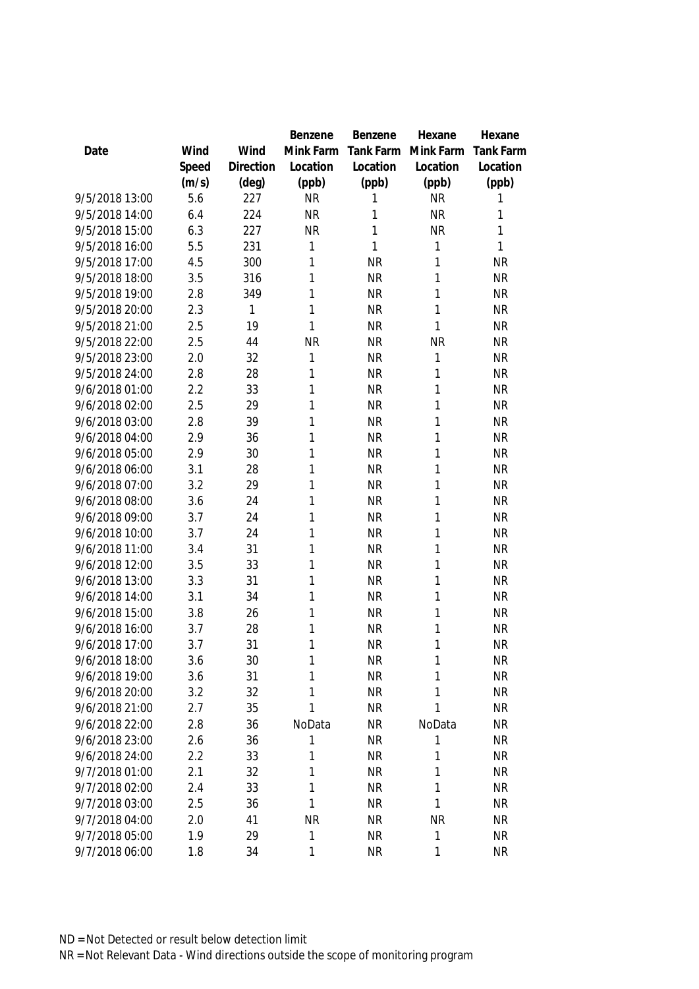|                |       |           | Benzene   | Benzene      | Hexane    | Hexane           |
|----------------|-------|-----------|-----------|--------------|-----------|------------------|
| Date           | Wind  | Wind      | Mink Farm | Tank Farm    | Mink Farm | <b>Tank Farm</b> |
|                | Speed | Direction | Location  | Location     | Location  | Location         |
|                | (m/s) | (deg)     | (ppb)     | (ppb)        | (ppb)     | (ppb)            |
| 9/5/2018 13:00 | 5.6   | 227       | <b>NR</b> | 1            | <b>NR</b> | 1                |
| 9/5/2018 14:00 | 6.4   | 224       | <b>NR</b> | 1            | <b>NR</b> | 1                |
| 9/5/2018 15:00 | 6.3   | 227       | <b>NR</b> | $\mathbf{1}$ | <b>NR</b> | 1                |
| 9/5/2018 16:00 | 5.5   | 231       | 1         | 1            | 1         | 1                |
| 9/5/2018 17:00 | 4.5   | 300       | 1         | <b>NR</b>    | 1         | <b>NR</b>        |
| 9/5/2018 18:00 | 3.5   | 316       | 1         | <b>NR</b>    | 1         | <b>NR</b>        |
| 9/5/2018 19:00 | 2.8   | 349       | 1         | <b>NR</b>    | 1         | <b>NR</b>        |
| 9/5/2018 20:00 | 2.3   | 1         | 1         | <b>NR</b>    | 1         | <b>NR</b>        |
| 9/5/2018 21:00 | 2.5   | 19        | 1         | <b>NR</b>    | 1         | <b>NR</b>        |
| 9/5/2018 22:00 | 2.5   | 44        | <b>NR</b> | <b>NR</b>    | <b>NR</b> | <b>NR</b>        |
| 9/5/2018 23:00 | 2.0   | 32        | 1         | <b>NR</b>    | 1         | <b>NR</b>        |
| 9/5/2018 24:00 | 2.8   | 28        | 1         | <b>NR</b>    | 1         | <b>NR</b>        |
| 9/6/2018 01:00 | 2.2   | 33        | 1         | <b>NR</b>    | 1         | <b>NR</b>        |
| 9/6/2018 02:00 | 2.5   | 29        | 1         | <b>NR</b>    | 1         | <b>NR</b>        |
| 9/6/2018 03:00 | 2.8   | 39        | 1         | <b>NR</b>    | 1         | <b>NR</b>        |
| 9/6/2018 04:00 | 2.9   | 36        | 1         | <b>NR</b>    | 1         | <b>NR</b>        |
| 9/6/2018 05:00 | 2.9   | 30        | 1         | <b>NR</b>    | 1         | <b>NR</b>        |
| 9/6/2018 06:00 | 3.1   | 28        | 1         | <b>NR</b>    | 1         | <b>NR</b>        |
| 9/6/2018 07:00 | 3.2   | 29        | 1         | <b>NR</b>    | 1         | <b>NR</b>        |
| 9/6/2018 08:00 | 3.6   | 24        | 1         | <b>NR</b>    | 1         | <b>NR</b>        |
| 9/6/2018 09:00 | 3.7   | 24        | 1         | <b>NR</b>    | 1         | <b>NR</b>        |
| 9/6/2018 10:00 | 3.7   | 24        | 1         | <b>NR</b>    | 1         | <b>NR</b>        |
| 9/6/2018 11:00 | 3.4   | 31        | 1         | <b>NR</b>    | 1         | <b>NR</b>        |
| 9/6/2018 12:00 | 3.5   | 33        | 1         | <b>NR</b>    | 1         | <b>NR</b>        |
| 9/6/2018 13:00 | 3.3   | 31        | 1         | <b>NR</b>    | 1         | <b>NR</b>        |
| 9/6/2018 14:00 | 3.1   | 34        | 1         | <b>NR</b>    | 1         | <b>NR</b>        |
| 9/6/2018 15:00 | 3.8   | 26        | 1         | <b>NR</b>    | 1         | <b>NR</b>        |
| 9/6/2018 16:00 | 3.7   | 28        | 1         | <b>NR</b>    | 1         | <b>NR</b>        |
| 9/6/2018 17:00 | 3.7   | 31        | 1         | <b>NR</b>    | 1         | <b>NR</b>        |
| 9/6/2018 18:00 | 3.6   | 30        | 1         | <b>NR</b>    | 1         | <b>NR</b>        |
| 9/6/2018 19:00 | 3.6   | 31        | 1         | <b>NR</b>    | 1         | <b>NR</b>        |
| 9/6/2018 20:00 | 3.2   | 32        | 1         | <b>NR</b>    | 1         | <b>NR</b>        |
| 9/6/2018 21:00 | 2.7   | 35        | 1         | <b>NR</b>    | 1         | <b>NR</b>        |
| 9/6/2018 22:00 | 2.8   | 36        | NoData    | <b>NR</b>    | NoData    | NR               |
| 9/6/2018 23:00 | 2.6   | 36        | 1         | <b>NR</b>    | 1         | <b>NR</b>        |
| 9/6/2018 24:00 | 2.2   | 33        | 1         | <b>NR</b>    | 1         | <b>NR</b>        |
| 9/7/2018 01:00 | 2.1   | 32        | 1         | <b>NR</b>    | 1         | NR               |
| 9/7/2018 02:00 | 2.4   | 33        | 1         | <b>NR</b>    | 1         | NR               |
| 9/7/2018 03:00 | 2.5   | 36        | 1         | <b>NR</b>    | 1         | <b>NR</b>        |
| 9/7/2018 04:00 | 2.0   | 41        | <b>NR</b> | <b>NR</b>    | <b>NR</b> | <b>NR</b>        |
| 9/7/2018 05:00 | 1.9   | 29        | 1         | <b>NR</b>    | 1         | <b>NR</b>        |
| 9/7/2018 06:00 | 1.8   | 34        | 1         | <b>NR</b>    | 1         | <b>NR</b>        |
|                |       |           |           |              |           |                  |